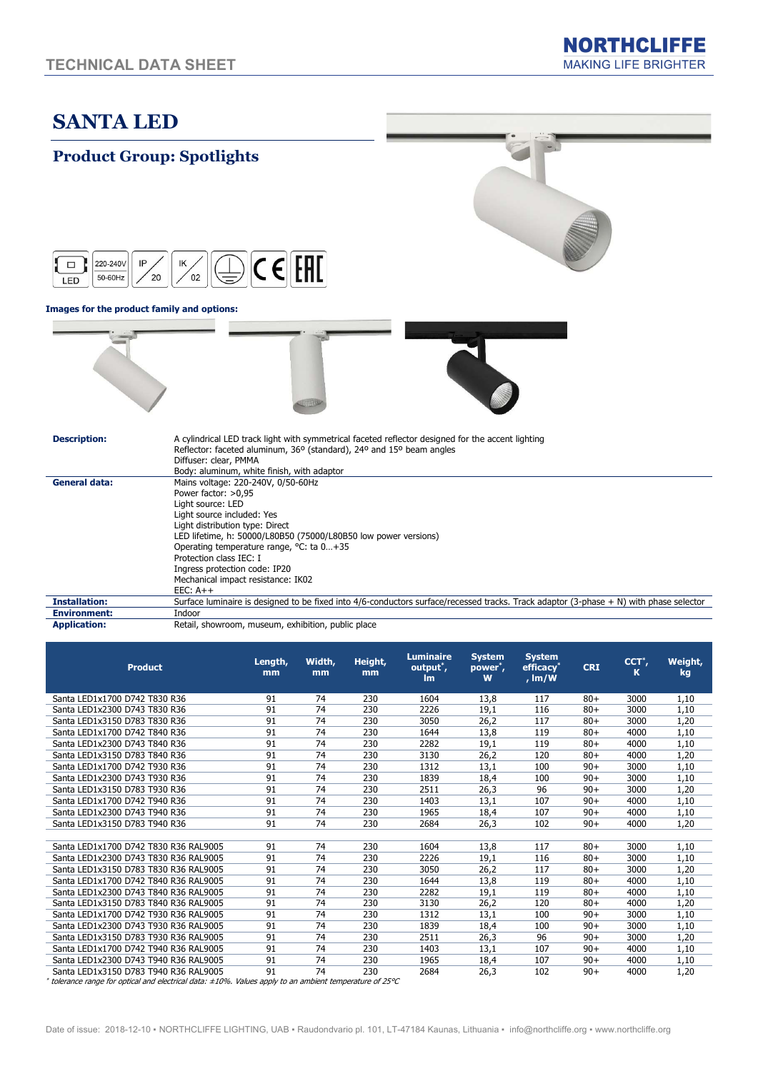# SANTA LED

### Product Group: Spotlights



#### Images for the product family and options:







| <b>Description:</b> |
|---------------------|
|---------------------|

|                      | Reflector: faceted aluminum, 36° (standard), 24° and 15° beam angles                                                                   |
|----------------------|----------------------------------------------------------------------------------------------------------------------------------------|
|                      | Diffuser: clear, PMMA                                                                                                                  |
|                      | Body: aluminum, white finish, with adaptor                                                                                             |
| <b>General data:</b> | Mains voltage: 220-240V, 0/50-60Hz                                                                                                     |
|                      | Power factor: $>0.95$                                                                                                                  |
|                      | Light source: LED                                                                                                                      |
|                      | Light source included: Yes                                                                                                             |
|                      | Light distribution type: Direct                                                                                                        |
|                      | LED lifetime, h: 50000/L80B50 (75000/L80B50 low power versions)                                                                        |
|                      | Operating temperature range, °C: ta 0+35                                                                                               |
|                      | Protection class IEC: I                                                                                                                |
|                      | Ingress protection code: IP20                                                                                                          |
|                      | Mechanical impact resistance: IK02                                                                                                     |
|                      | $EEC: A++$                                                                                                                             |
| <b>Installation:</b> | Surface luminaire is designed to be fixed into 4/6-conductors surface/recessed tracks. Track adaptor (3-phase + N) with phase selector |
| <b>Environment:</b>  | Indoor                                                                                                                                 |
|                      |                                                                                                                                        |

A cylindrical LED track light with symmetrical faceted reflector designed for the accent lighting

Application: Retail, showroom, museum, exhibition, public place

| <b>Product</b>                        | Length,<br>mm | Width,<br>mm | Height,<br>mm | <b>Luminaire</b><br>output <sup>*</sup> ,<br>Im | <b>System</b><br>power <sup>*</sup> ,<br>W | <b>System</b><br>efficacy <sup>*</sup><br>, $Im/W$ | <b>CRI</b> | $CCT^*$ ,<br>к | Weight,<br>kg |
|---------------------------------------|---------------|--------------|---------------|-------------------------------------------------|--------------------------------------------|----------------------------------------------------|------------|----------------|---------------|
| Santa LED1x1700 D742 T830 R36         | 91            | 74           | 230           | 1604                                            | 13,8                                       | 117                                                | $80+$      | 3000           | 1,10          |
| Santa LED1x2300 D743 T830 R36         | 91            | 74           | 230           | 2226                                            | 19,1                                       | 116                                                | $80+$      | 3000           | 1,10          |
| Santa LED1x3150 D783 T830 R36         | 91            | 74           | 230           | 3050                                            | 26.2                                       | 117                                                | $80+$      | 3000           | 1,20          |
| Santa LED1x1700 D742 T840 R36         | 91            | 74           | 230           | 1644                                            | 13,8                                       | 119                                                | $80+$      | 4000           | 1,10          |
| Santa LED1x2300 D743 T840 R36         | 91            | 74           | 230           | 2282                                            | 19,1                                       | 119                                                | $80+$      | 4000           | 1,10          |
| Santa LED1x3150 D783 T840 R36         | 91            | 74           | 230           | 3130                                            | 26,2                                       | 120                                                | $80+$      | 4000           | 1,20          |
| Santa LED1x1700 D742 T930 R36         | 91            | 74           | 230           | 1312                                            | 13,1                                       | 100                                                | $90+$      | 3000           | 1,10          |
| Santa LED1x2300 D743 T930 R36         | 91            | 74           | 230           | 1839                                            | 18,4                                       | 100                                                | $90+$      | 3000           | 1,10          |
| Santa LED1x3150 D783 T930 R36         | 91            | 74           | 230           | 2511                                            | 26.3                                       | 96                                                 | $90+$      | 3000           | 1,20          |
| Santa LED1x1700 D742 T940 R36         | 91            | 74           | 230           | 1403                                            | 13,1                                       | 107                                                | $90+$      | 4000           | 1,10          |
| Santa LED1x2300 D743 T940 R36         | 91            | 74           | 230           | 1965                                            | 18,4                                       | 107                                                | $90+$      | 4000           | 1,10          |
| Santa LED1x3150 D783 T940 R36         | 91            | 74           | 230           | 2684                                            | 26,3                                       | 102                                                | $90+$      | 4000           | 1,20          |
|                                       |               |              |               |                                                 |                                            |                                                    |            |                |               |
| Santa LED1x1700 D742 T830 R36 RAL9005 | 91            | 74           | 230           | 1604                                            | 13,8                                       | 117                                                | $80+$      | 3000           | 1,10          |
| Santa LED1x2300 D743 T830 R36 RAL9005 | 91            | 74           | 230           | 2226                                            | 19,1                                       | 116                                                | $80+$      | 3000           | 1,10          |
| Santa LED1x3150 D783 T830 R36 RAL9005 | 91            | 74           | 230           | 3050                                            | 26,2                                       | 117                                                | $80+$      | 3000           | 1,20          |
| Santa LED1x1700 D742 T840 R36 RAL9005 | 91            | 74           | 230           | 1644                                            | 13,8                                       | 119                                                | $80+$      | 4000           | 1,10          |
| Santa LED1x2300 D743 T840 R36 RAL9005 | 91            | 74           | 230           | 2282                                            | 19,1                                       | 119                                                | $80+$      | 4000           | 1,10          |
| Santa LED1x3150 D783 T840 R36 RAL9005 | 91            | 74           | 230           | 3130                                            | 26,2                                       | 120                                                | $80+$      | 4000           | 1,20          |
| Santa LED1x1700 D742 T930 R36 RAL9005 | 91            | 74           | 230           | 1312                                            | 13,1                                       | 100                                                | $90+$      | 3000           | 1,10          |
| Santa LED1x2300 D743 T930 R36 RAL9005 | 91            | 74           | 230           | 1839                                            | 18,4                                       | 100                                                | $90+$      | 3000           | 1,10          |
| Santa LED1x3150 D783 T930 R36 RAL9005 | 91            | 74           | 230           | 2511                                            | 26,3                                       | 96                                                 | $90+$      | 3000           | 1,20          |
| Santa LED1x1700 D742 T940 R36 RAL9005 | 91            | 74           | 230           | 1403                                            | 13,1                                       | 107                                                | $90+$      | 4000           | 1,10          |
| Santa LED1x2300 D743 T940 R36 RAL9005 | 91            | 74           | 230           | 1965                                            | 18,4                                       | 107                                                | $90+$      | 4000           | 1,10          |
| Santa LED1x3150 D783 T940 R36 RAL9005 | 91            | 74           | 230           | 2684                                            | 26,3                                       | 102                                                | $90+$      | 4000           | 1,20          |

\* tolerance range for optical and electrical data: ±10%. Values apply to an ambient temperature of 25°C